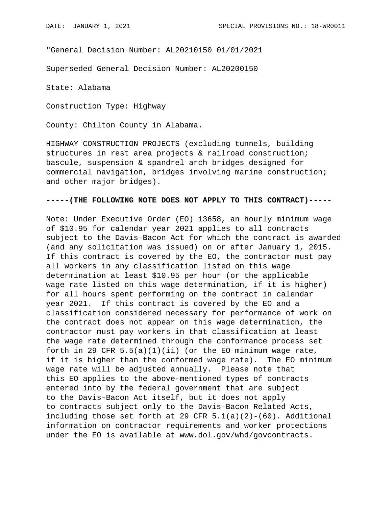"General Decision Number: AL20210150 01/01/2021

Superseded General Decision Number: AL20200150

State: Alabama

Construction Type: Highway

County: Chilton County in Alabama.

HIGHWAY CONSTRUCTION PROJECTS (excluding tunnels, building structures in rest area projects & railroad construction; bascule, suspension & spandrel arch bridges designed for commercial navigation, bridges involving marine construction; and other major bridges).

## **-----(THE FOLLOWING NOTE DOES NOT APPLY TO THIS CONTRACT)-----**

Note: Under Executive Order (EO) 13658, an hourly minimum wage of \$10.95 for calendar year 2021 applies to all contracts subject to the Davis-Bacon Act for which the contract is awarded (and any solicitation was issued) on or after January 1, 2015. If this contract is covered by the EO, the contractor must pay all workers in any classification listed on this wage determination at least \$10.95 per hour (or the applicable wage rate listed on this wage determination, if it is higher) for all hours spent performing on the contract in calendar year 2021. If this contract is covered by the EO and a classification considered necessary for performance of work on the contract does not appear on this wage determination, the contractor must pay workers in that classification at least the wage rate determined through the conformance process set forth in 29 CFR  $5.5(a)(1)(ii)$  (or the EO minimum wage rate, if it is higher than the conformed wage rate). The EO minimum wage rate will be adjusted annually. Please note that this EO applies to the above-mentioned types of contracts entered into by the federal government that are subject to the Davis-Bacon Act itself, but it does not apply to contracts subject only to the Davis-Bacon Related Acts, including those set forth at 29 CFR  $5.1(a)(2)-(60)$ . Additional information on contractor requirements and worker protections under the EO is available at www.dol.gov/whd/govcontracts.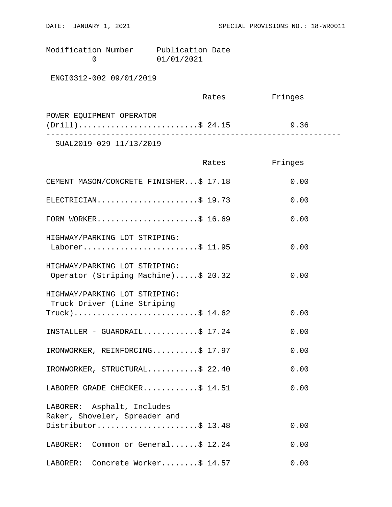Modification Number Publication Date 0 01/01/2021

ENGI0312-002 09/01/2019

|                          | Rates | Fringes |  |
|--------------------------|-------|---------|--|
| POWER EQUIPMENT OPERATOR |       |         |  |
| $(Drill)$ \$ 24.15       |       | 9.36    |  |
|                          |       |         |  |

SUAL2019-029 11/13/2019

|                                                                                    | Rates | Fringes |
|------------------------------------------------------------------------------------|-------|---------|
| CEMENT MASON/CONCRETE FINISHER\$ 17.18                                             |       | 0.00    |
| ELECTRICIAN\$ 19.73                                                                |       | 0.00    |
| FORM WORKER\$ 16.69                                                                |       | 0.00    |
| HIGHWAY/PARKING LOT STRIPING:<br>Laborer\$ 11.95                                   |       | 0.00    |
| HIGHWAY/PARKING LOT STRIPING:<br>Operator (Striping Machine)\$ 20.32               |       | 0.00    |
| HIGHWAY/PARKING LOT STRIPING:<br>Truck Driver (Line Striping<br>$True k$ )\$ 14.62 |       | 0.00    |
| INSTALLER - GUARDRAIL\$ 17.24                                                      |       | 0.00    |
| IRONWORKER, REINFORCING\$ 17.97                                                    |       | 0.00    |
| IRONWORKER, STRUCTURAL\$ 22.40                                                     |       | 0.00    |
| LABORER GRADE CHECKER\$ 14.51                                                      |       | 0.00    |
| LABORER: Asphalt, Includes<br>Raker, Shoveler, Spreader and                        |       |         |
| Distributor\$ 13.48                                                                |       | 0.00    |
| LABORER: Common or General\$ 12.24                                                 |       | 0.00    |
| LABORER: Concrete Worker\$ 14.57                                                   |       | 0.00    |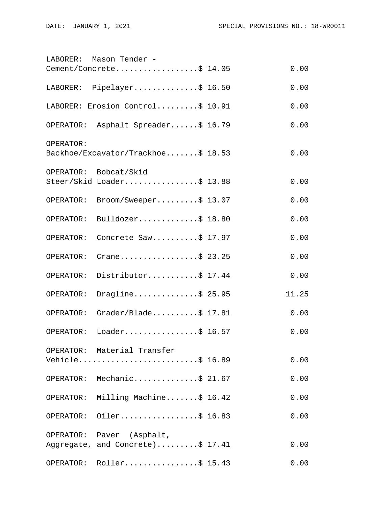|           | LABORER: Mason Tender -                                       |       |
|-----------|---------------------------------------------------------------|-------|
|           | Cement/Concrete\$ 14.05                                       | 0.00  |
|           | LABORER: Pipelayer\$ 16.50                                    | 0.00  |
|           | LABORER: Erosion Control\$ 10.91                              | 0.00  |
|           | OPERATOR: Asphalt Spreader\$ 16.79                            | 0.00  |
| OPERATOR: | Backhoe/Excavator/Trackhoe\$ 18.53                            | 0.00  |
|           | OPERATOR: Bobcat/Skid<br>Steer/Skid Loader\$ 13.88            | 0.00  |
| OPERATOR: | Broom/Sweeper\$ 13.07                                         | 0.00  |
| OPERATOR: | Bulldozer\$ 18.80                                             | 0.00  |
| OPERATOR: | Concrete Saw\$ 17.97                                          | 0.00  |
| OPERATOR: | Crane\$ 23.25                                                 | 0.00  |
| OPERATOR: | Distributor\$ 17.44                                           | 0.00  |
| OPERATOR: | Dragline\$ $25.95$                                            | 11.25 |
| OPERATOR: | $Grader/Blade \ldots$ . \$ 17.81                              | 0.00  |
| OPERATOR: | Loader\$ 16.57                                                | 0.00  |
|           | OPERATOR: Material Transfer<br>Vehicle\$ 16.89                | 0.00  |
|           | OPERATOR: Mechanic\$ 21.67                                    | 0.00  |
| OPERATOR: | Milling Machine\$ 16.42                                       | 0.00  |
|           | OPERATOR: Oiler\$ 16.83                                       | 0.00  |
|           | OPERATOR: Paver (Asphalt,<br>Aggregate, and Concrete)\$ 17.41 | 0.00  |
| OPERATOR: | Roller\$ 15.43                                                | 0.00  |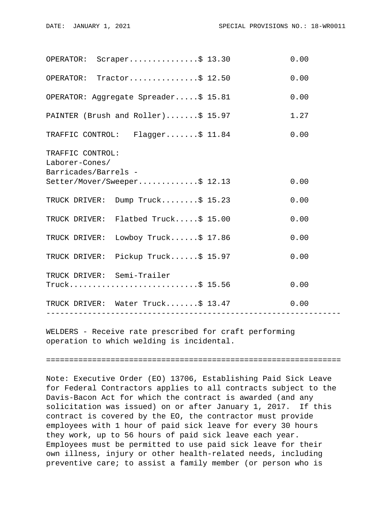| OPERATOR: Scraper\$ 13.30                                  | 0.00 |
|------------------------------------------------------------|------|
| OPERATOR: Tractor\$ 12.50                                  | 0.00 |
| OPERATOR: Aggregate Spreader\$ 15.81                       | 0.00 |
| PAINTER (Brush and Roller)\$ 15.97                         | 1.27 |
| TRAFFIC CONTROL: Flagger\$ 11.84                           | 0.00 |
| TRAFFIC CONTROL:<br>Laborer-Cones/<br>Barricades/Barrels - |      |
| Setter/Mover/Sweeper\$ 12.13                               | 0.00 |
| TRUCK DRIVER: Dump Truck\$ 15.23                           | 0.00 |
| TRUCK DRIVER: Flatbed Truck\$ 15.00                        | 0.00 |
| TRUCK DRIVER: Lowboy Truck\$ 17.86                         | 0.00 |
| TRUCK DRIVER: Pickup Truck\$ 15.97                         | 0.00 |
| TRUCK DRIVER: Semi-Trailer<br>$Truck$ \$ 15.56             | 0.00 |
| TRUCK DRIVER: Water Truck\$ 13.47                          | 0.00 |
|                                                            |      |

WELDERS - Receive rate prescribed for craft performing operation to which welding is incidental.

================================================================

Note: Executive Order (EO) 13706, Establishing Paid Sick Leave for Federal Contractors applies to all contracts subject to the Davis-Bacon Act for which the contract is awarded (and any solicitation was issued) on or after January 1, 2017. If this contract is covered by the EO, the contractor must provide employees with 1 hour of paid sick leave for every 30 hours they work, up to 56 hours of paid sick leave each year. Employees must be permitted to use paid sick leave for their own illness, injury or other health-related needs, including preventive care; to assist a family member (or person who is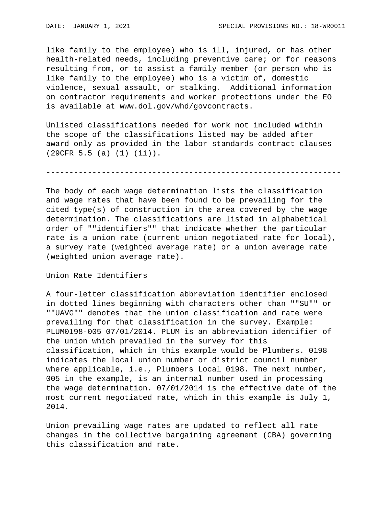like family to the employee) who is ill, injured, or has other health-related needs, including preventive care; or for reasons resulting from, or to assist a family member (or person who is like family to the employee) who is a victim of, domestic violence, sexual assault, or stalking. Additional information on contractor requirements and worker protections under the EO is available at www.dol.gov/whd/govcontracts.

Unlisted classifications needed for work not included within the scope of the classifications listed may be added after award only as provided in the labor standards contract clauses (29CFR 5.5 (a) (1) (ii)).

----------------------------------------------------------------

The body of each wage determination lists the classification and wage rates that have been found to be prevailing for the cited type(s) of construction in the area covered by the wage determination. The classifications are listed in alphabetical order of ""identifiers"" that indicate whether the particular rate is a union rate (current union negotiated rate for local), a survey rate (weighted average rate) or a union average rate (weighted union average rate).

Union Rate Identifiers

A four-letter classification abbreviation identifier enclosed in dotted lines beginning with characters other than ""SU"" or ""UAVG"" denotes that the union classification and rate were prevailing for that classification in the survey. Example: PLUM0198-005 07/01/2014. PLUM is an abbreviation identifier of the union which prevailed in the survey for this classification, which in this example would be Plumbers. 0198 indicates the local union number or district council number where applicable, i.e., Plumbers Local 0198. The next number, 005 in the example, is an internal number used in processing the wage determination. 07/01/2014 is the effective date of the most current negotiated rate, which in this example is July 1, 2014.

Union prevailing wage rates are updated to reflect all rate changes in the collective bargaining agreement (CBA) governing this classification and rate.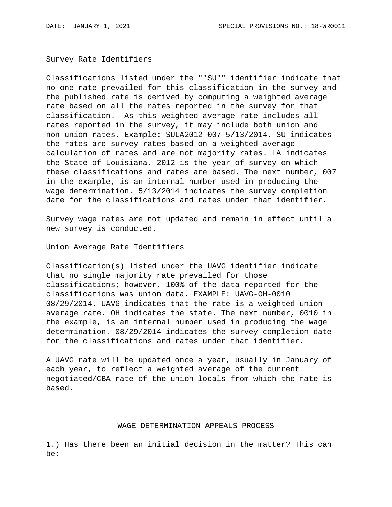Survey Rate Identifiers

Classifications listed under the ""SU"" identifier indicate that no one rate prevailed for this classification in the survey and the published rate is derived by computing a weighted average rate based on all the rates reported in the survey for that classification. As this weighted average rate includes all rates reported in the survey, it may include both union and non-union rates. Example: SULA2012-007 5/13/2014. SU indicates the rates are survey rates based on a weighted average calculation of rates and are not majority rates. LA indicates the State of Louisiana. 2012 is the year of survey on which these classifications and rates are based. The next number, 007 in the example, is an internal number used in producing the wage determination. 5/13/2014 indicates the survey completion date for the classifications and rates under that identifier.

Survey wage rates are not updated and remain in effect until a new survey is conducted.

Union Average Rate Identifiers

Classification(s) listed under the UAVG identifier indicate that no single majority rate prevailed for those classifications; however, 100% of the data reported for the classifications was union data. EXAMPLE: UAVG-OH-0010 08/29/2014. UAVG indicates that the rate is a weighted union average rate. OH indicates the state. The next number, 0010 in the example, is an internal number used in producing the wage determination. 08/29/2014 indicates the survey completion date for the classifications and rates under that identifier.

A UAVG rate will be updated once a year, usually in January of each year, to reflect a weighted average of the current negotiated/CBA rate of the union locals from which the rate is based.

----------------------------------------------------------------

WAGE DETERMINATION APPEALS PROCESS

1.) Has there been an initial decision in the matter? This can be: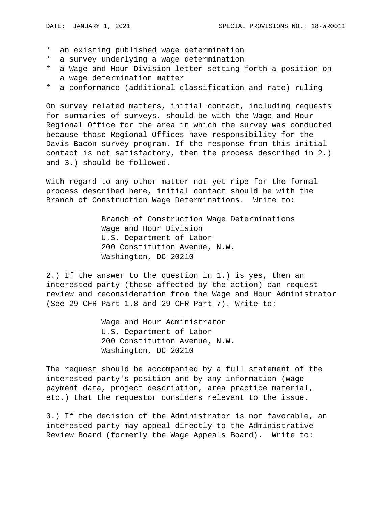- \* an existing published wage determination
- \* a survey underlying a wage determination
- \* a Wage and Hour Division letter setting forth a position on a wage determination matter
- \* a conformance (additional classification and rate) ruling

On survey related matters, initial contact, including requests for summaries of surveys, should be with the Wage and Hour Regional Office for the area in which the survey was conducted because those Regional Offices have responsibility for the Davis-Bacon survey program. If the response from this initial contact is not satisfactory, then the process described in 2.) and 3.) should be followed.

With regard to any other matter not yet ripe for the formal process described here, initial contact should be with the Branch of Construction Wage Determinations. Write to:

> Branch of Construction Wage Determinations Wage and Hour Division U.S. Department of Labor 200 Constitution Avenue, N.W. Washington, DC 20210

2.) If the answer to the question in 1.) is yes, then an interested party (those affected by the action) can request review and reconsideration from the Wage and Hour Administrator (See 29 CFR Part 1.8 and 29 CFR Part 7). Write to:

> Wage and Hour Administrator U.S. Department of Labor 200 Constitution Avenue, N.W. Washington, DC 20210

The request should be accompanied by a full statement of the interested party's position and by any information (wage payment data, project description, area practice material, etc.) that the requestor considers relevant to the issue.

3.) If the decision of the Administrator is not favorable, an interested party may appeal directly to the Administrative Review Board (formerly the Wage Appeals Board). Write to: